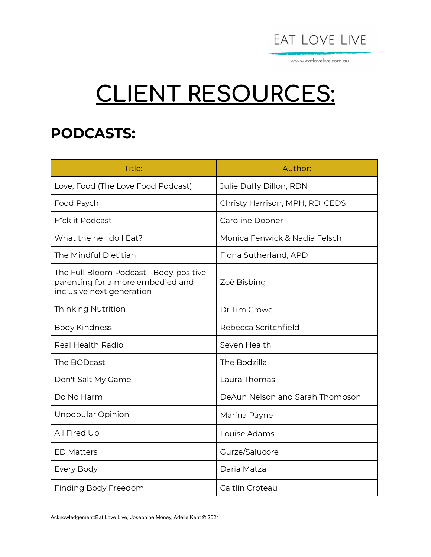

www.eatlovelive.com.au

## **CLIENT RESOURCES:**

## **PODCASTS:**

| Title:                                                                                                   | Author:                         |
|----------------------------------------------------------------------------------------------------------|---------------------------------|
| Love, Food (The Love Food Podcast)                                                                       | Julie Duffy Dillon, RDN         |
| Food Psych                                                                                               | Christy Harrison, MPH, RD, CEDS |
| F*ck it Podcast                                                                                          | <b>Caroline Dooner</b>          |
| What the hell do I Eat?                                                                                  | Monica Fenwick & Nadia Felsch   |
| The Mindful Dietitian                                                                                    | Fiona Sutherland, APD           |
| The Full Bloom Podcast - Body-positive<br>parenting for a more embodied and<br>inclusive next generation | Zoë Bisbing                     |
| <b>Thinking Nutrition</b>                                                                                | Dr Tim Crowe                    |
| <b>Body Kindness</b>                                                                                     | Rebecca Scritchfield            |
| <b>Real Health Radio</b>                                                                                 | Seven Health                    |
| The BODcast                                                                                              | The Bodzilla                    |
| Don't Salt My Game                                                                                       | Laura Thomas                    |
| Do No Harm                                                                                               | DeAun Nelson and Sarah Thompson |
| Unpopular Opinion                                                                                        | Marina Payne                    |
| All Fired Up                                                                                             | Louise Adams                    |
| <b>ED Matters</b>                                                                                        | Gurze/Salucore                  |
| Every Body                                                                                               | Daria Matza                     |
| Finding Body Freedom                                                                                     | Caitlin Croteau                 |